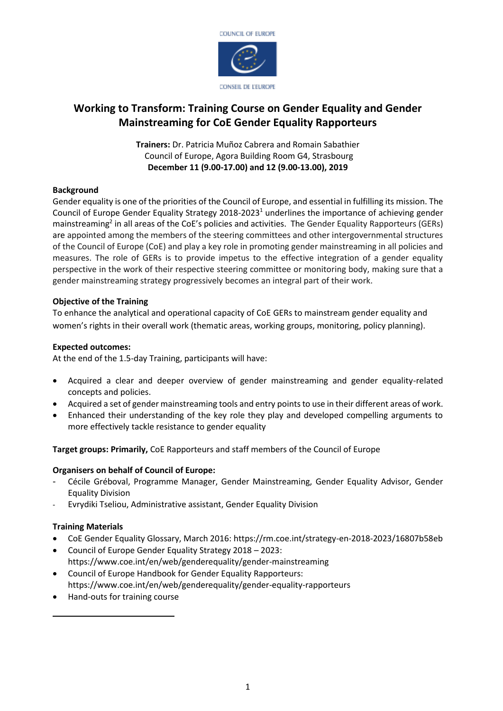

### **Working to Transform: Training Course on Gender Equality and Gender Mainstreaming for CoE Gender Equality Rapporteurs**

**Trainers:** Dr. Patricia Muñoz Cabrera and Romain Sabathier Council of Europe, Agora Building Room G4, Strasbourg **December 11 (9.00-17.00) and 12 (9.00-13.00), 2019**

#### **Background**

Gender equality is one of the priorities of the Council of Europe, and essential in fulfilling its mission. The Council of Europe Gender Equality Strategy 2018-2023<sup>1</sup> underlines the importance of achieving gender mainstreaming<sup>2</sup> in all areas of the CoE's policies and activities. The Gender Equality Rapporteurs (GERs) are appointed among the members of the steering committees and other intergovernmental structures of the Council of Europe (CoE) and play a key role in promoting gender mainstreaming in all policies and measures. The role of GERs is to provide impetus to the effective integration of a gender equality perspective in the work of their respective steering committee or monitoring body, making sure that a gender mainstreaming strategy progressively becomes an integral part of their work.

#### **Objective of the Training**

To enhance the analytical and operational capacity of CoE GERs to mainstream gender equality and women's rights in their overall work (thematic areas, working groups, monitoring, policy planning).

#### **Expected outcomes:**

At the end of the 1.5-day Training, participants will have:

- Acquired a clear and deeper overview of gender mainstreaming and gender equality-related concepts and policies.
- Acquired a set of gender mainstreaming tools and entry points to use in their different areas of work.
- Enhanced their understanding of the key role they play and developed compelling arguments to more effectively tackle resistance to gender equality

**Target groups: Primarily,** CoE Rapporteurs and staff members of the Council of Europe

#### **Organisers on behalf of Council of Europe:**

- Cécile Gréboval, Programme Manager, Gender Mainstreaming, Gender Equality Advisor, Gender Equality Division
- Evrydiki Tseliou, Administrative assistant, Gender Equality Division

#### **Training Materials**

- CoE Gender Equality Glossary, March 2016: https://rm.coe.int/strategy-en-2018-2023/16807b58eb
- Council of Europe Gender Equality Strategy 2018 2023: https://www.coe.int/en/web/genderequality/gender-mainstreaming
- Council of Europe Handbook for Gender Equality Rapporteurs: https://www.coe.int/en/web/genderequality/gender-equality-rapporteurs
- Hand-outs for training course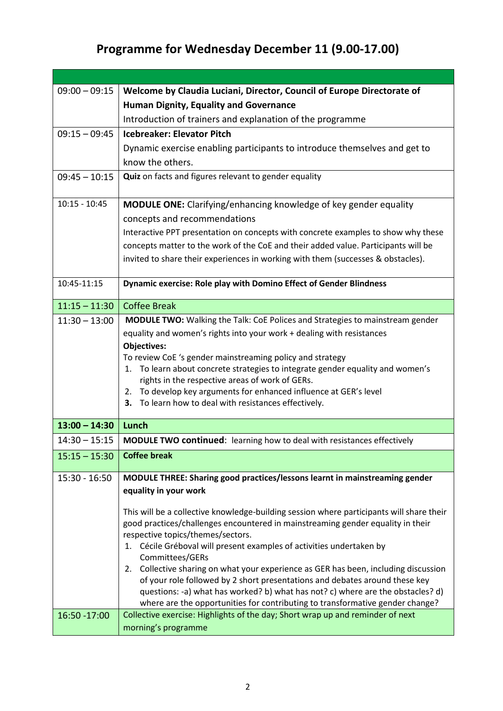## **Programme for Wednesday December 11 (9.00-17.00)**

| $09:00 - 09:15$ | Welcome by Claudia Luciani, Director, Council of Europe Directorate of                                 |
|-----------------|--------------------------------------------------------------------------------------------------------|
|                 | <b>Human Dignity, Equality and Governance</b>                                                          |
|                 | Introduction of trainers and explanation of the programme                                              |
| $09:15 - 09:45$ | <b>Icebreaker: Elevator Pitch</b>                                                                      |
|                 | Dynamic exercise enabling participants to introduce themselves and get to                              |
|                 | know the others.                                                                                       |
| $09:45 - 10:15$ | Quiz on facts and figures relevant to gender equality                                                  |
|                 |                                                                                                        |
| $10:15 - 10:45$ | <b>MODULE ONE:</b> Clarifying/enhancing knowledge of key gender equality                               |
|                 | concepts and recommendations                                                                           |
|                 | Interactive PPT presentation on concepts with concrete examples to show why these                      |
|                 | concepts matter to the work of the CoE and their added value. Participants will be                     |
|                 | invited to share their experiences in working with them (successes & obstacles).                       |
| 10:45-11:15     | Dynamic exercise: Role play with Domino Effect of Gender Blindness                                     |
|                 |                                                                                                        |
| $11:15 - 11:30$ | <b>Coffee Break</b>                                                                                    |
| $11:30 - 13:00$ | <b>MODULE TWO:</b> Walking the Talk: CoE Polices and Strategies to mainstream gender                   |
|                 | equality and women's rights into your work + dealing with resistances<br><b>Objectives:</b>            |
|                 | To review CoE 's gender mainstreaming policy and strategy                                              |
|                 | To learn about concrete strategies to integrate gender equality and women's<br>1.                      |
|                 | rights in the respective areas of work of GERs.                                                        |
|                 | To develop key arguments for enhanced influence at GER's level<br>2.                                   |
|                 | To learn how to deal with resistances effectively.<br>З.                                               |
| $13:00 - 14:30$ | Lunch                                                                                                  |
| $14:30 - 15:15$ | <b>MODULE TWO continued:</b> learning how to deal with resistances effectively                         |
| $15:15 - 15:30$ | <b>Coffee break</b>                                                                                    |
| 15:30 - 16:50   | MODULE THREE: Sharing good practices/lessons learnt in mainstreaming gender                            |
|                 | equality in your work                                                                                  |
|                 | This will be a collective knowledge-building session where participants will share their               |
|                 | good practices/challenges encountered in mainstreaming gender equality in their                        |
|                 | respective topics/themes/sectors.                                                                      |
|                 | 1. Cécile Gréboval will present examples of activities undertaken by                                   |
|                 | Committees/GERs<br>2. Collective sharing on what your experience as GER has been, including discussion |
|                 | of your role followed by 2 short presentations and debates around these key                            |
|                 | questions: -a) what has worked? b) what has not? c) where are the obstacles? d)                        |
|                 | where are the opportunities for contributing to transformative gender change?                          |
| 16:50 - 17:00   | Collective exercise: Highlights of the day; Short wrap up and reminder of next                         |
|                 | morning's programme                                                                                    |